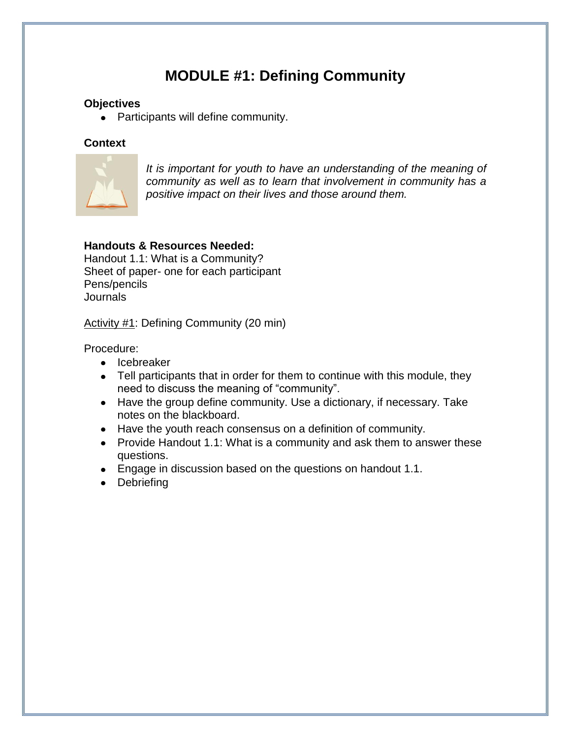# **MODULE #1: Defining Community**

#### **Objectives**

• Participants will define community.

#### **Context**



*It is important for youth to have an understanding of the meaning of community as well as to learn that involvement in community has a positive impact on their lives and those around them.* 

### **Handouts & Resources Needed:**

Handout 1.1: What is a Community? Sheet of paper- one for each participant Pens/pencils Journals

Activity #1: Defining Community (20 min)

Procedure:

- Icebreaker
- Tell participants that in order for them to continue with this module, they need to discuss the meaning of "community".
- Have the group define community. Use a dictionary, if necessary. Take notes on the blackboard.
- Have the youth reach consensus on a definition of community.
- Provide Handout 1.1: What is a community and ask them to answer these questions.
- Engage in discussion based on the questions on handout 1.1.
- Debriefing